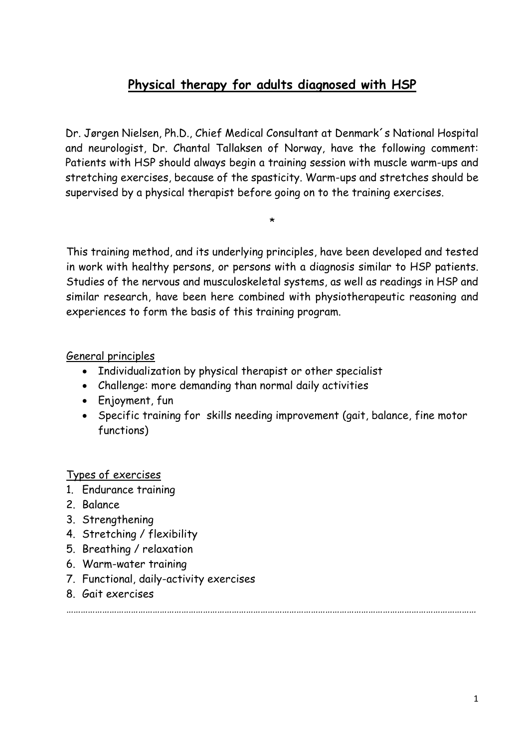# **Physical therapy for adults diagnosed with HSP**

Dr. Jørgen Nielsen, Ph.D., Chief Medical Consultant at Denmark´s National Hospital and neurologist, Dr. Chantal Tallaksen of Norway, have the following comment: Patients with HSP should always begin a training session with muscle warm-ups and stretching exercises, because of the spasticity. Warm-ups and stretches should be supervised by a physical therapist before going on to the training exercises.

\*

This training method, and its underlying principles, have been developed and tested in work with healthy persons, or persons with a diagnosis similar to HSP patients. Studies of the nervous and musculoskeletal systems, as well as readings in HSP and similar research, have been here combined with physiotherapeutic reasoning and experiences to form the basis of this training program.

#### General principles

- Individualization by physical therapist or other specialist
- Challenge: more demanding than normal daily activities
- Enjoyment, fun
- Specific training for skills needing improvement (gait, balance, fine motor functions)

#### Types of exercises

- 1. Endurance training
- 2. Balance
- 3. Strengthening
- 4. Stretching / flexibility
- 5. Breathing / relaxation
- 6. Warm-water training
- 7. Functional, daily-activity exercises
- 8. Gait exercises

………………………………………………………………………………………………………………………………………………………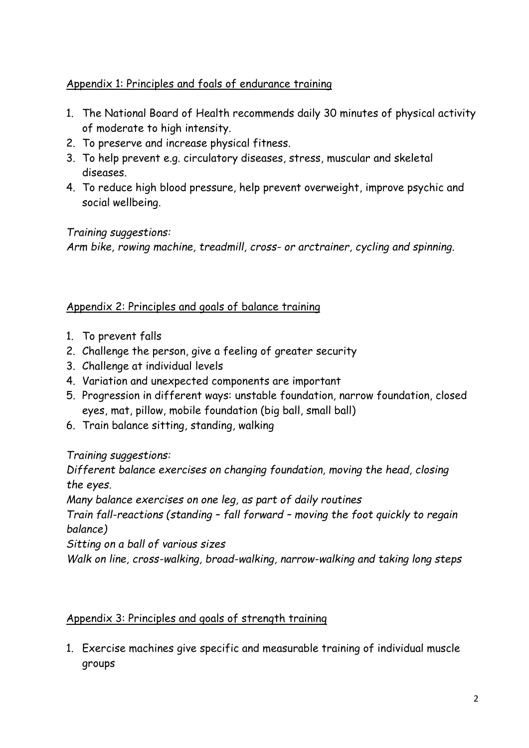## Appendix 1: Principles and foals of endurance training

- 1. The National Board of Health recommends daily 30 minutes of physical activity of moderate to high intensity.
- 2. To preserve and increase physical fitness.
- 3. To help prevent e.g. circulatory diseases, stress, muscular and skeletal diseases.
- 4. To reduce high blood pressure, help prevent overweight, improve psychic and social wellbeing.

## *Training suggestions:*

*Arm bike, rowing machine, treadmill, cross- or arctrainer, cycling and spinning.*

## Appendix 2: Principles and goals of balance training

- 1. To prevent falls
- 2. Challenge the person, give a feeling of greater security
- 3. Challenge at individual levels
- 4. Variation and unexpected components are important
- 5. Progression in different ways: unstable foundation, narrow foundation, closed eyes, mat, pillow, mobile foundation (big ball, small ball)
- 6. Train balance sitting, standing, walking

## *Training suggestions:*

*Different balance exercises on changing foundation, moving the head, closing the eyes.*

*Many balance exercises on one leg, as part of daily routines*

*Train fall-reactions (standing – fall forward – moving the foot quickly to regain balance)*

*Sitting on a ball of various sizes*

*Walk on line, cross-walking, broad-walking, narrow-walking and taking long steps*

## Appendix 3: Principles and goals of strength training

1. Exercise machines give specific and measurable training of individual muscle groups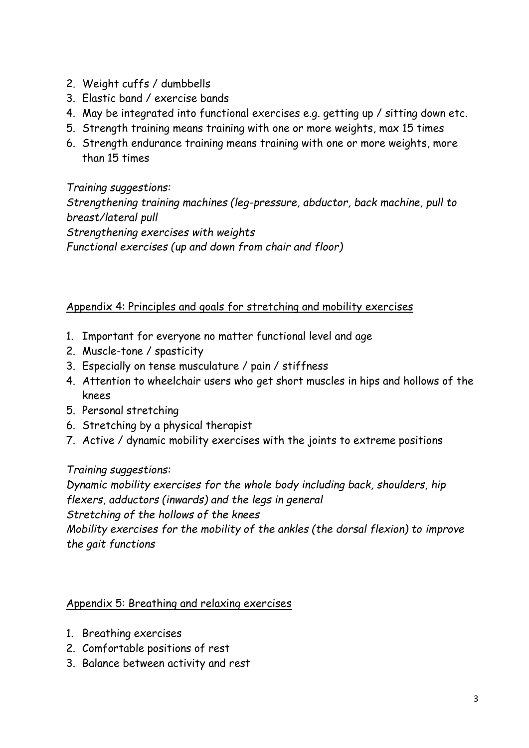- 2. Weight cuffs / dumbbells
- 3. Elastic band / exercise bands
- 4. May be integrated into functional exercises e.g. getting up / sitting down etc.
- 5. Strength training means training with one or more weights, max 15 times
- 6. Strength endurance training means training with one or more weights, more than 15 times

*Training suggestions: Strengthening training machines (leg-pressure, abductor, back machine, pull to breast/lateral pull Strengthening exercises with weights Functional exercises (up and down from chair and floor)*

#### Appendix 4: Principles and goals for stretching and mobility exercises

- 1. Important for everyone no matter functional level and age
- 2. Muscle-tone / spasticity
- 3. Especially on tense musculature / pain / stiffness
- 4. Attention to wheelchair users who get short muscles in hips and hollows of the knees
- 5. Personal stretching
- 6. Stretching by a physical therapist
- 7. Active / dynamic mobility exercises with the joints to extreme positions

#### *Training suggestions:*

*Dynamic mobility exercises for the whole body including back, shoulders, hip flexers, adductors (inwards) and the legs in general Stretching of the hollows of the knees Mobility exercises for the mobility of the ankles (the dorsal flexion) to improve*

*the gait functions*

#### Appendix 5: Breathing and relaxing exercises

- 1. Breathing exercises
- 2. Comfortable positions of rest
- 3. Balance between activity and rest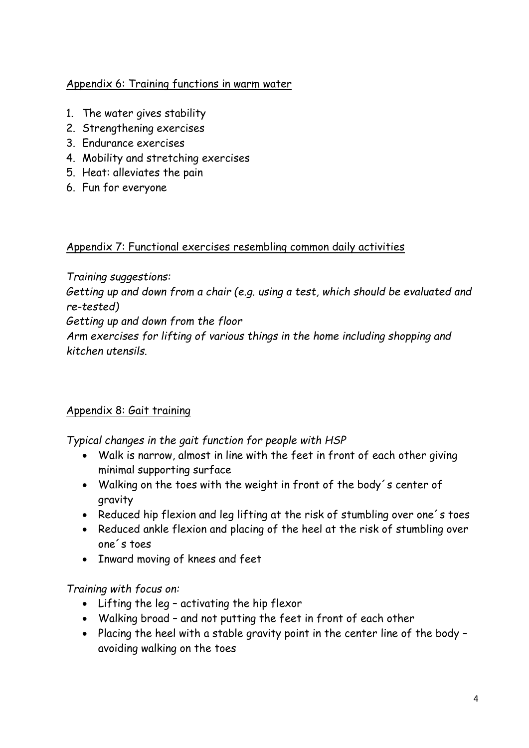#### Appendix 6: Training functions in warm water

- 1. The water gives stability
- 2. Strengthening exercises
- 3. Endurance exercises
- 4. Mobility and stretching exercises
- 5. Heat: alleviates the pain
- 6. Fun for everyone

#### Appendix 7: Functional exercises resembling common daily activities

*Training suggestions:*

*Getting up and down from a chair (e.g. using a test, which should be evaluated and re-tested)*

*Getting up and down from the floor*

*Arm exercises for lifting of various things in the home including shopping and kitchen utensils.*

## Appendix 8: Gait training

*Typical changes in the gait function for people with HSP*

- Walk is narrow, almost in line with the feet in front of each other giving minimal supporting surface
- Walking on the toes with the weight in front of the body´s center of gravity
- Reduced hip flexion and leg lifting at the risk of stumbling over one´s toes
- Reduced ankle flexion and placing of the heel at the risk of stumbling over one´s toes
- Inward moving of knees and feet

*Training with focus on:*

- Lifting the leg activating the hip flexor
- Walking broad and not putting the feet in front of each other
- Placing the heel with a stable gravity point in the center line of the body avoiding walking on the toes